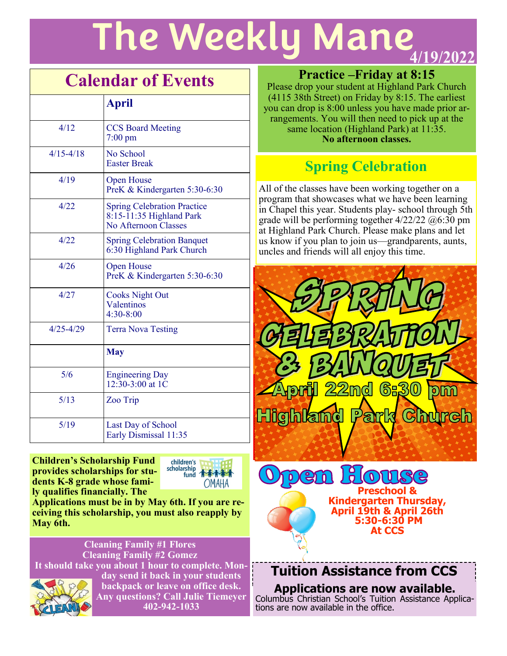# **The Weekly Mane**

# **Calendar of Events**

|               | <b>April</b>                                                                             |
|---------------|------------------------------------------------------------------------------------------|
| 4/12          | <b>CCS Board Meeting</b><br>$7:00 \text{ pm}$                                            |
| $4/15 - 4/18$ | No School<br><b>Easter Break</b>                                                         |
| 4/19          | <b>Open House</b><br>PreK & Kindergarten 5:30-6:30                                       |
| 4/22          | <b>Spring Celebration Practice</b><br>$8:15-11:35$ Highland Park<br>No Afternoon Classes |
| 4/22          | <b>Spring Celebration Banquet</b><br>6:30 Highland Park Church                           |
| 4/26          | <b>Open House</b><br>PreK & Kindergarten 5:30-6:30                                       |
| 4/27          | <b>Cooks Night Out</b><br>Valentinos<br>$4:30 - 8:00$                                    |
| $4/25 - 4/29$ | <b>Terra Nova Testing</b>                                                                |
|               | <b>May</b>                                                                               |
| 5/6           | <b>Engineering Day</b><br>$12:30-3:00$ at 1C                                             |
| 5/13          | Zoo Trip                                                                                 |
| 5/19          | Last Day of School<br>Early Dismissal 11:35                                              |

**Children's Scholarship Fund provides scholarships for students K-8 grade whose family qualifies financially. The** 



**Applications must be in by May 6th. If you are receiving this scholarship, you must also reapply by May 6th.**

**Cleaning Family #1 Flores Cleaning Family #2 Gomez It should take you about 1 hour to complete. Mon-**



**day send it back in your students backpack or leave on office desk. Any questions? Call Julie Tiemeyer 402-942-1033**

#### **Practice –Friday at 8:15**

Please drop your student at Highland Park Church (4115 38th Street) on Friday by 8:15. The earliest you can drop is 8:00 unless you have made prior arrangements. You will then need to pick up at the same location (Highland Park) at 11:35. **No afternoon classes.** 

# **Spring Celebration**

All of the classes have been working together on a program that showcases what we have been learning in Chapel this year. Students play- school through 5th grade will be performing together  $4/22/22$   $\omega$ 6:30 pm at Highland Park Church. Please make plans and let us know if you plan to join us—grandparents, aunts, uncles and friends will all enjoy this time.



**Tuition Assistance from CCS**

**April 19th & April 26th 5:30-6:30 PM At CCS**

**Applications are now available.**  Columbus Christian School's Tuition Assistance Applications are now available in the office.